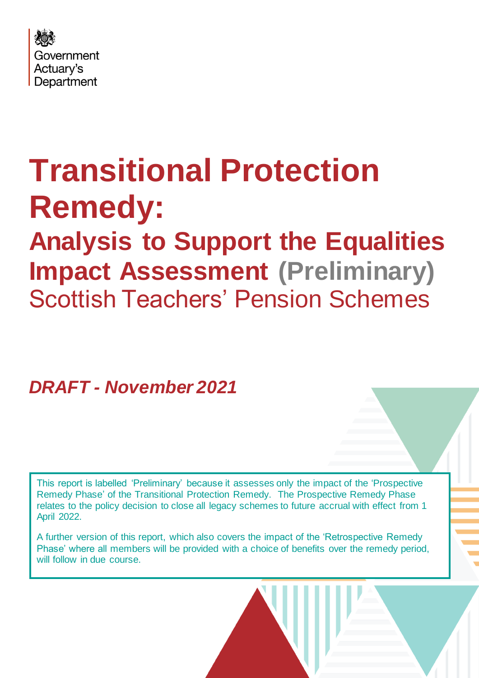

# **Transitional Protection Remedy: Analysis to Support the Equalities Impact Assessment (Preliminary)** Scottish Teachers' Pension Schemes

*DRAFT - November 2021*

This report is labelled 'Preliminary' because it assesses only the impact of the 'Prospective Remedy Phase' of the Transitional Protection Remedy. The Prospective Remedy Phase relates to the policy decision to close all legacy schemes to future accrual with effect from 1 April 2022.

A further version of this report, which also covers the impact of the 'Retrospective Remedy Phase' where all members will be provided with a choice of benefits over the remedy period, will follow in due course.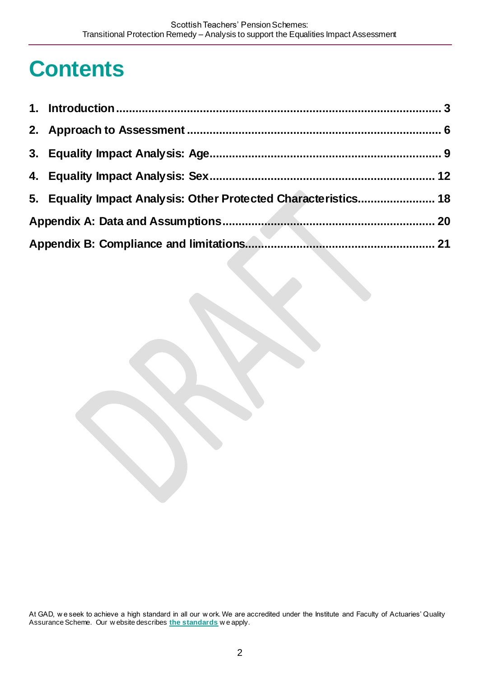## **Contents**

| 5. Equality Impact Analysis: Other Protected Characteristics 18 |  |
|-----------------------------------------------------------------|--|
|                                                                 |  |
|                                                                 |  |

At GAD, w e seek to achieve a high standard in all our w ork. We are accredited under the Institute and Faculty of Actuaries' Quality Assurance Scheme. Our w ebsite describes **[the standards](https://www.gov.uk/government/organisations/government-actuarys-department/about/terms-of-reference)** w e apply.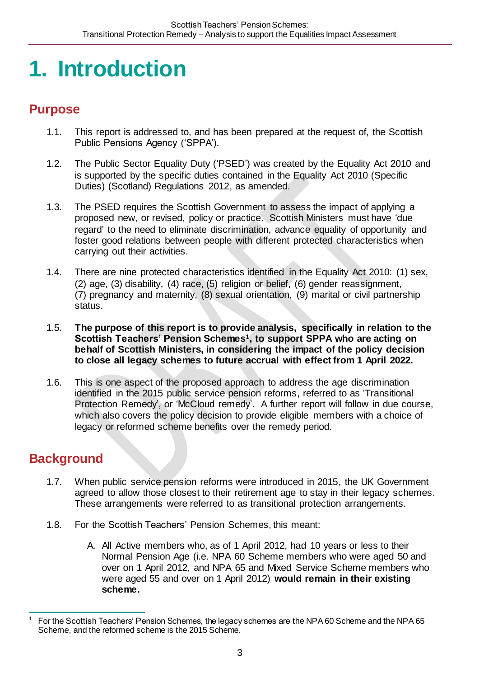# <span id="page-2-0"></span>**1. Introduction**

## **Purpose**

- 1.1. This report is addressed to, and has been prepared at the request of, the Scottish Public Pensions Agency ('SPPA').
- 1.2. The Public Sector Equality Duty ('PSED') was created by the Equality Act 2010 and is supported by the specific duties contained in the Equality Act 2010 (Specific Duties) (Scotland) Regulations 2012, as amended.
- 1.3. The PSED requires the Scottish Government to assess the impact of applying a proposed new, or revised, policy or practice. Scottish Ministers must have 'due regard' to the need to eliminate discrimination, advance equality of opportunity and foster good relations between people with different protected characteristics when carrying out their activities.
- 1.4. There are nine protected characteristics identified in the Equality Act 2010: (1) sex, (2) age, (3) disability, (4) race, (5) religion or belief, (6) gender reassignment, (7) pregnancy and maternity, (8) sexual orientation, (9) marital or civil partnership status.
- 1.5. **The purpose of this report is to provide analysis, specifically in relation to the Scottish Teachers' Pension Schemes1, to support SPPA who are acting on behalf of Scottish Ministers, in considering the impact of the policy decision to close all legacy schemes to future accrual with effect from 1 April 2022.**
- 1.6. This is one aspect of the proposed approach to address the age discrimination identified in the 2015 public service pension reforms, referred to as 'Transitional Protection Remedy', or 'McCloud remedy'. A further report will follow in due course, which also covers the policy decision to provide eligible members with a choice of legacy or reformed scheme benefits over the remedy period.

## **Background**

- 1.7. When public service pension reforms were introduced in 2015, the UK Government agreed to allow those closest to their retirement age to stay in their legacy schemes. These arrangements were referred to as transitional protection arrangements.
- 1.8. For the Scottish Teachers' Pension Schemes, this meant:
	- A. All Active members who, as of 1 April 2012, had 10 years or less to their Normal Pension Age (i.e. NPA 60 Scheme members who were aged 50 and over on 1 April 2012, and NPA 65 and Mixed Service Scheme members who were aged 55 and over on 1 April 2012) **would remain in their existing scheme.**

 $\overline{a}$ <sup>1</sup> For the Scottish Teachers' Pension Schemes, the legacy schemes are the NPA 60 Scheme and the NPA 65 Scheme, and the reformed scheme is the 2015 Scheme.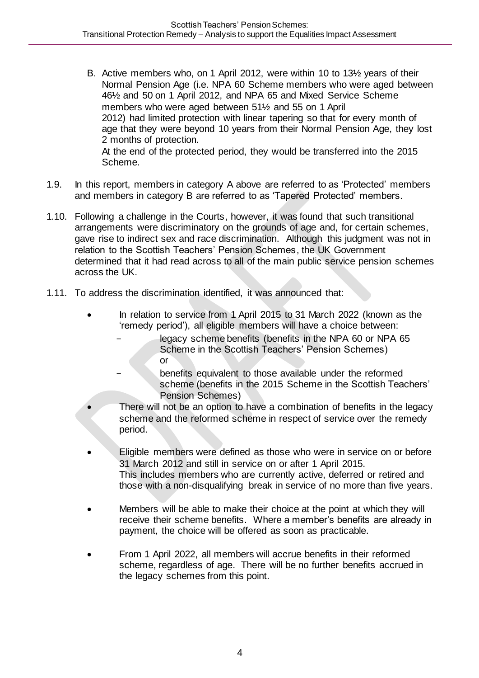B. Active members who, on 1 April 2012, were within 10 to 13½ years of their Normal Pension Age (i.e. NPA 60 Scheme members who were aged between 46½ and 50 on 1 April 2012, and NPA 65 and Mixed Service Scheme members who were aged between 51½ and 55 on 1 April 2012) had limited protection with linear tapering so that for every month of age that they were beyond 10 years from their Normal Pension Age, they lost 2 months of protection. At the end of the protected period, they would be transferred into the 2015 Scheme.

- 1.9. In this report, members in category A above are referred to as 'Protected' members and members in category B are referred to as 'Tapered Protected' members.
- 1.10. Following a challenge in the Courts, however, it was found that such transitional arrangements were discriminatory on the grounds of age and, for certain schemes, gave rise to indirect sex and race discrimination. Although this judgment was not in relation to the Scottish Teachers' Pension Schemes, the UK Government determined that it had read across to all of the main public service pension schemes across the UK.
- 1.11. To address the discrimination identified, it was announced that:
	- In relation to service from 1 April 2015 to 31 March 2022 (known as the 'remedy period'), all eligible members will have a choice between:
		- legacy scheme benefits (benefits in the NPA 60 or NPA 65 Scheme in the Scottish Teachers' Pension Schemes) or
			- benefits equivalent to those available under the reformed scheme (benefits in the 2015 Scheme in the Scottish Teachers' Pension Schemes)
		- There will not be an option to have a combination of benefits in the legacy scheme and the reformed scheme in respect of service over the remedy period.
	- Eligible members were defined as those who were in service on or before 31 March 2012 and still in service on or after 1 April 2015. This includes members who are currently active, deferred or retired and those with a non-disqualifying break in service of no more than five years.
	- Members will be able to make their choice at the point at which they will receive their scheme benefits. Where a member's benefits are already in payment, the choice will be offered as soon as practicable.
	- From 1 April 2022, all members will accrue benefits in their reformed scheme, regardless of age. There will be no further benefits accrued in the legacy schemes from this point.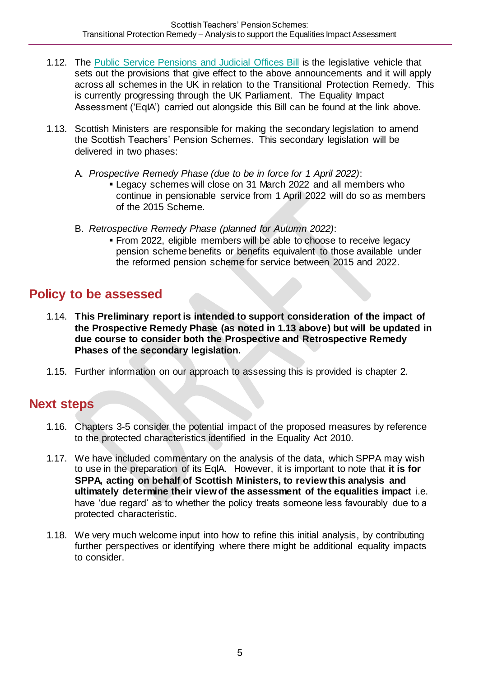- 1.12. The [Public Service Pensions](https://bills.parliament.uk/bills/3032) and Judicial Offices Bill is the legislative vehicle that sets out the provisions that give effect to the above announcements and it will apply across all schemes in the UK in relation to the Transitional Protection Remedy. This is currently progressing through the UK Parliament. The Equality Impact Assessment ('EqIA') carried out alongside this Bill can be found at the link above.
- 1.13. Scottish Ministers are responsible for making the secondary legislation to amend the Scottish Teachers' Pension Schemes. This secondary legislation will be delivered in two phases:
	- A. *Prospective Remedy Phase (due to be in force for 1 April 2022)*:
		- Legacy schemes will close on 31 March 2022 and all members who continue in pensionable service from 1 April 2022 will do so as members of the 2015 Scheme.
	- B. *Retrospective Remedy Phase (planned for Autumn 2022)*:
		- From 2022, eligible members will be able to choose to receive legacy pension scheme benefits or benefits equivalent to those available under the reformed pension scheme for service between 2015 and 2022.

## **Policy to be assessed**

- 1.14. **This Preliminary report is intended to support consideration of the impact of the Prospective Remedy Phase (as noted in 1.13 above) but will be updated in due course to consider both the Prospective and Retrospective Remedy Phases of the secondary legislation.**
- 1.15. Further information on our approach to assessing this is provided is chapter 2.

## **Next steps**

- 1.16. Chapters 3-5 consider the potential impact of the proposed measures by reference to the protected characteristics identified in the Equality Act 2010.
- 1.17. We have included commentary on the analysis of the data, which SPPA may wish to use in the preparation of its EqIA. However, it is important to note that **it is for SPPA, acting on behalf of Scottish Ministers, to review this analysis and ultimately determine their view of the assessment of the equalities impact** i.e. have 'due regard' as to whether the policy treats someone less favourably due to a protected characteristic.
- 1.18. We very much welcome input into how to refine this initial analysis, by contributing further perspectives or identifying where there might be additional equality impacts to consider.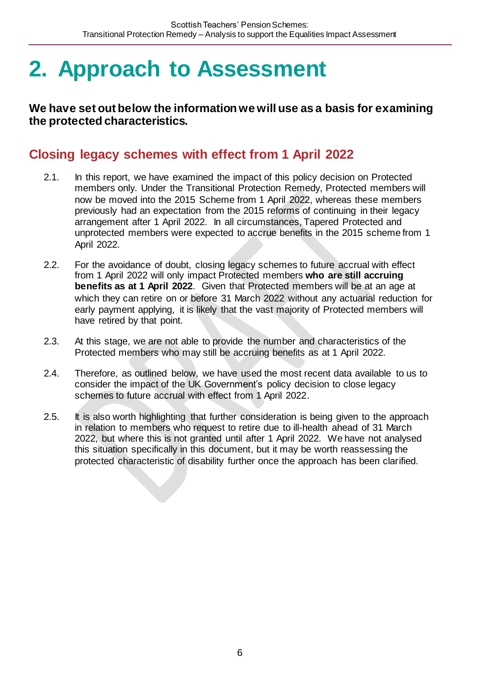# <span id="page-5-0"></span>**2. Approach to Assessment**

**We have set out below the information we will use as a basis for examining the protected characteristics.**

## **Closing legacy schemes with effect from 1 April 2022**

- 2.1. In this report, we have examined the impact of this policy decision on Protected members only. Under the Transitional Protection Remedy, Protected members will now be moved into the 2015 Scheme from 1 April 2022, whereas these members previously had an expectation from the 2015 reforms of continuing in their legacy arrangement after 1 April 2022. In all circumstances, Tapered Protected and unprotected members were expected to accrue benefits in the 2015 scheme from 1 April 2022.
- 2.2. For the avoidance of doubt, closing legacy schemes to future accrual with effect from 1 April 2022 will only impact Protected members **who are still accruing benefits as at 1 April 2022**. Given that Protected members will be at an age at which they can retire on or before 31 March 2022 without any actuarial reduction for early payment applying, it is likely that the vast majority of Protected members will have retired by that point.
- 2.3. At this stage, we are not able to provide the number and characteristics of the Protected members who may still be accruing benefits as at 1 April 2022.
- 2.4. Therefore, as outlined below, we have used the most recent data available to us to consider the impact of the UK Government's policy decision to close legacy schemes to future accrual with effect from 1 April 2022.
- 2.5. It is also worth highlighting that further consideration is being given to the approach in relation to members who request to retire due to ill-health ahead of 31 March 2022, but where this is not granted until after 1 April 2022. We have not analysed this situation specifically in this document, but it may be worth reassessing the protected characteristic of disability further once the approach has been clarified.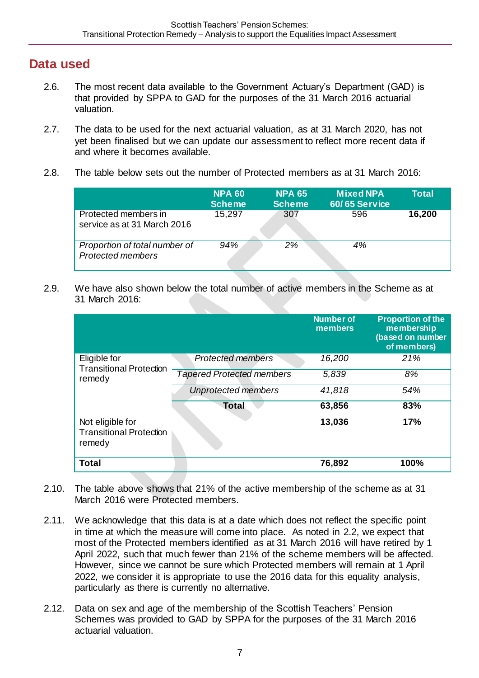## **Data used**

- 2.6. The most recent data available to the Government Actuary's Department (GAD) is that provided by SPPA to GAD for the purposes of the 31 March 2016 actuarial valuation.
- 2.7. The data to be used for the next actuarial valuation, as at 31 March 2020, has not yet been finalised but we can update our assessment to reflect more recent data if and where it becomes available.
- 2.8. The table below sets out the number of Protected members as at 31 March 2016:

|                                                           | <b>NPA 60</b><br><b>Scheme</b> | <b>NPA 65</b><br><b>Scheme</b> | <b>Mixed NPA</b><br><b>60/65 Service</b> | Total  |
|-----------------------------------------------------------|--------------------------------|--------------------------------|------------------------------------------|--------|
| Protected members in<br>service as at 31 March 2016       | 15,297                         | 307                            | 596                                      | 16,200 |
| Proportion of total number of<br><b>Protected members</b> | 94%                            | 2%                             | 4%                                       |        |

2.9. We have also shown below the total number of active members in the Scheme as at 31 March 2016:

|                                                              |                                  | <b>Number of</b><br>members | <b>Proportion of the</b><br>membership<br>(based on number<br>of members) |
|--------------------------------------------------------------|----------------------------------|-----------------------------|---------------------------------------------------------------------------|
| Eligible for<br><b>Transitional Protection</b>               | <b>Protected members</b>         | 16,200                      | 21%                                                                       |
| remedy                                                       | <b>Tapered Protected members</b> | 5,839                       | 8%                                                                        |
|                                                              | <b>Unprotected members</b>       | 41,818                      | 54%                                                                       |
|                                                              | <b>Total</b>                     | 63,856                      | 83%                                                                       |
| Not eligible for<br><b>Transitional Protection</b><br>remedy |                                  | 13,036                      | 17%                                                                       |
| <b>Total</b>                                                 |                                  | 76,892                      | 100%                                                                      |

- 2.10. The table above shows that 21% of the active membership of the scheme as at 31 March 2016 were Protected members.
- 2.11. We acknowledge that this data is at a date which does not reflect the specific point in time at which the measure will come into place. As noted in 2.2, we expect that most of the Protected members identified as at 31 March 2016 will have retired by 1 April 2022, such that much fewer than 21% of the scheme members will be affected. However, since we cannot be sure which Protected members will remain at 1 April 2022, we consider it is appropriate to use the 2016 data for this equality analysis, particularly as there is currently no alternative.
- 2.12. Data on sex and age of the membership of the Scottish Teachers' Pension Schemes was provided to GAD by SPPA for the purposes of the 31 March 2016 actuarial valuation.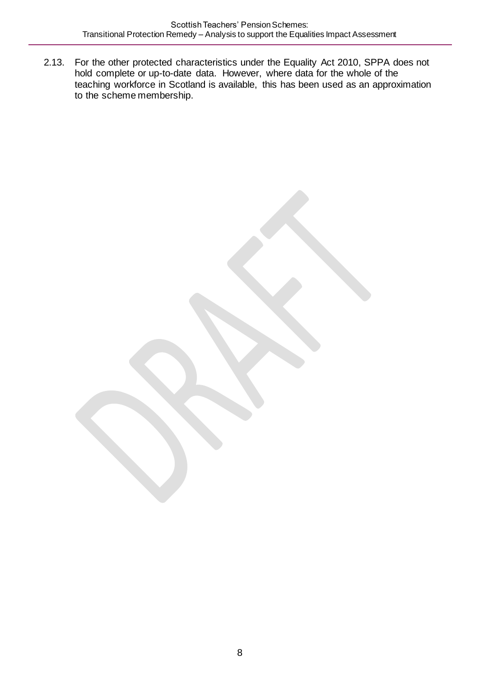2.13. For the other protected characteristics under the Equality Act 2010, SPPA does not hold complete or up-to-date data. However, where data for the whole of the teaching workforce in Scotland is available, this has been used as an approximation to the scheme membership.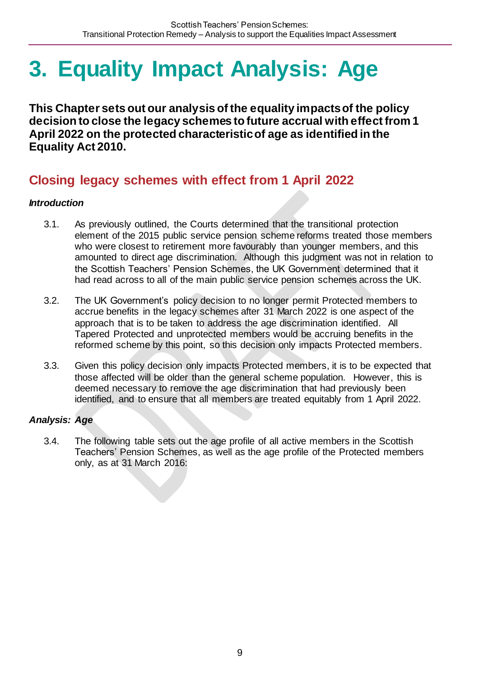# <span id="page-8-0"></span>**3. Equality Impact Analysis: Age**

**This Chapter sets out our analysis of the equality impacts of the policy decision to close the legacy schemes to future accrual with effect from 1 April 2022 on the protected characteristic of age as identified in the Equality Act 2010.**

## **Closing legacy schemes with effect from 1 April 2022**

#### *Introduction*

- 3.1. As previously outlined, the Courts determined that the transitional protection element of the 2015 public service pension scheme reforms treated those members who were closest to retirement more favourably than younger members, and this amounted to direct age discrimination. Although this judgment was not in relation to the Scottish Teachers' Pension Schemes, the UK Government determined that it had read across to all of the main public service pension schemes across the UK.
- 3.2. The UK Government's policy decision to no longer permit Protected members to accrue benefits in the legacy schemes after 31 March 2022 is one aspect of the approach that is to be taken to address the age discrimination identified. All Tapered Protected and unprotected members would be accruing benefits in the reformed scheme by this point, so this decision only impacts Protected members.
- 3.3. Given this policy decision only impacts Protected members, it is to be expected that those affected will be older than the general scheme population. However, this is deemed necessary to remove the age discrimination that had previously been identified, and to ensure that all members are treated equitably from 1 April 2022.

#### *Analysis: Age*

3.4. The following table sets out the age profile of all active members in the Scottish Teachers' Pension Schemes, as well as the age profile of the Protected members only, as at 31 March 2016: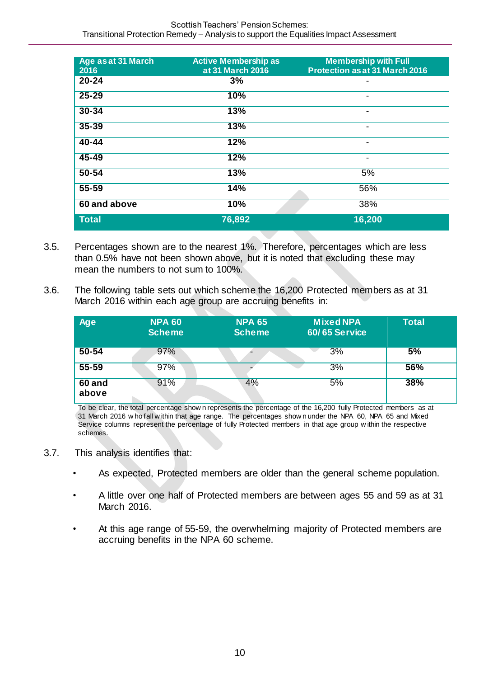| Age as at 31 March<br>2016 | <b>Active Membership as</b><br>at 31 March 2016 | <b>Membership with Full</b><br><b>Protection as at 31 March 2016</b> |
|----------------------------|-------------------------------------------------|----------------------------------------------------------------------|
| $20 - 24$                  | 3%                                              | ۰                                                                    |
| $25 - 29$                  | 10%                                             | $\overline{\phantom{a}}$                                             |
| $30 - 34$                  | 13%                                             | -                                                                    |
| $35 - 39$                  | 13%                                             |                                                                      |
| $40 - 44$                  | 12%                                             |                                                                      |
| $45 - 49$                  | 12%                                             | $\blacksquare$                                                       |
| $50 - 54$                  | 13%                                             | 5%                                                                   |
| 55-59                      | 14%                                             | 56%                                                                  |
| 60 and above               | 10%                                             | 38%                                                                  |
| <b>Total</b>               | 76,892                                          | 16,200                                                               |

- 3.5. Percentages shown are to the nearest 1%. Therefore, percentages which are less than 0.5% have not been shown above, but it is noted that excluding these may mean the numbers to not sum to 100%.
- 3.6. The following table sets out which scheme the 16,200 Protected members as at 31 March 2016 within each age group are accruing benefits in:

| Age             | <b>NPA 60</b><br><b>Scheme</b> | <b>NPA 65</b><br><b>Scheme</b> | <b>Mixed NPA</b><br><b>60/65 Service</b> | <b>Total</b> |
|-----------------|--------------------------------|--------------------------------|------------------------------------------|--------------|
| $50 - 54$       | 97%                            |                                | $3\%$                                    | 5%           |
| $55 - 59$       | 97%                            |                                | 3%                                       | 56%          |
| 60 and<br>above | 91%                            | 4%                             | 5%                                       | 38%          |

To be clear, the total percentage show n represents the percentage of the 16,200 fully Protected members as at 31 March 2016 w ho fall w ithin that age range. The percentages show n under the NPA 60, NPA 65 and Mixed Service columns represent the percentage of fully Protected members in that age group w ithin the respective schemes.

- 3.7. This analysis identifies that:
	- As expected, Protected members are older than the general scheme population.
	- A little over one half of Protected members are between ages 55 and 59 as at 31 March 2016.
	- At this age range of 55-59, the overwhelming majority of Protected members are accruing benefits in the NPA 60 scheme.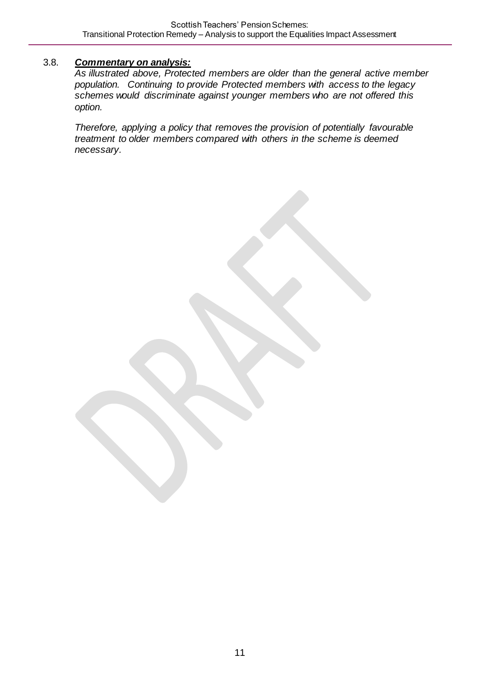#### 3.8. *Commentary on analysis:*

*As illustrated above, Protected members are older than the general active member population. Continuing to provide Protected members with access to the legacy schemes would discriminate against younger members who are not offered this option.* 

*Therefore, applying a policy that removes the provision of potentially favourable treatment to older members compared with others in the scheme is deemed necessary.*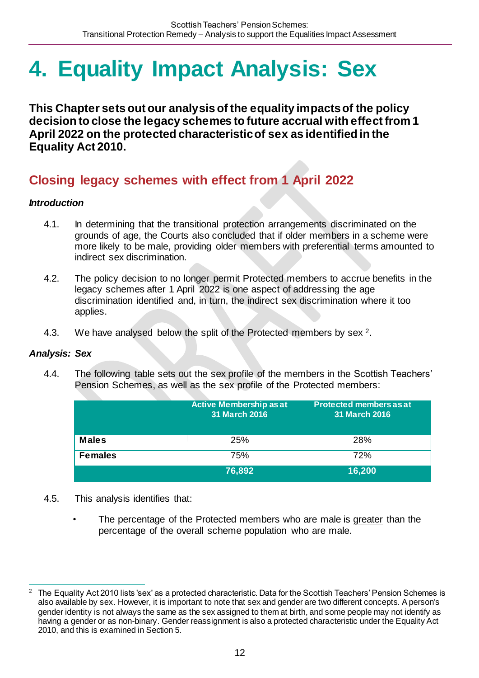# <span id="page-11-0"></span>**4. Equality Impact Analysis: Sex**

**This Chapter sets out our analysis of the equality impacts of the policy decision to close the legacy schemes to future accrual with effect from 1 April 2022 on the protected characteristic of sex as identified in the Equality Act 2010.**

## **Closing legacy schemes with effect from 1 April 2022**

#### *Introduction*

- 4.1. In determining that the transitional protection arrangements discriminated on the grounds of age, the Courts also concluded that if older members in a scheme were more likely to be male, providing older members with preferential terms amounted to indirect sex discrimination.
- 4.2. The policy decision to no longer permit Protected members to accrue benefits in the legacy schemes after 1 April 2022 is one aspect of addressing the age discrimination identified and, in turn, the indirect sex discrimination where it too applies.
- 4.3. We have analysed below the split of the Protected members by sex <sup>2</sup>.

#### *Analysis: Sex*

4.4. The following table sets out the sex profile of the members in the Scottish Teachers' Pension Schemes, as well as the sex profile of the Protected members:

|                | <b>Active Membership as at</b><br>31 March 2016 | <b>Protected members as at</b><br><b>31 March 2016</b> |
|----------------|-------------------------------------------------|--------------------------------------------------------|
| <b>Males</b>   | 25%                                             | 28%                                                    |
| <b>Females</b> | 75%                                             | 72%                                                    |
|                | 76,892                                          | 16,200                                                 |

- 4.5. This analysis identifies that:
	- The percentage of the Protected members who are male is greater than the percentage of the overall scheme population who are male.

 $\overline{a}$  $2$  The Equality Act 2010 lists 'sex' as a protected characteristic. Data for the Scottish Teachers' Pension Schemes is also available by sex. However, it is important to note that sex and gender are two different concepts. A person's gender identity is not always the same as the sex assigned to them at birth, and some people may not identify as having a gender or as non-binary. Gender reassignment is also a protected characteristic under the Equality Act 2010, and this is examined in Section 5.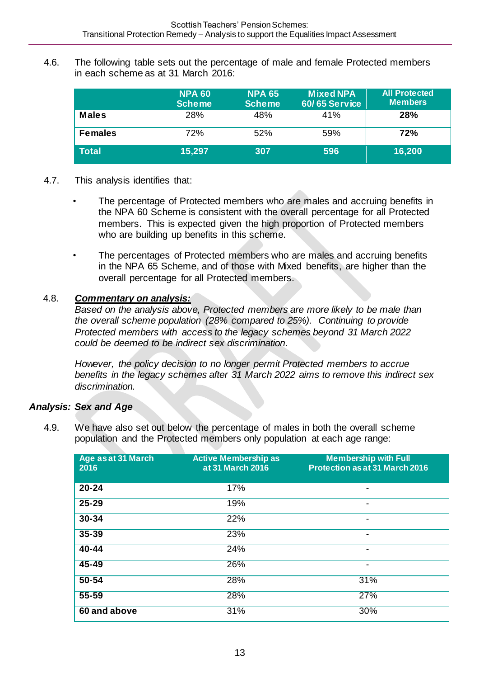4.6. The following table sets out the percentage of male and female Protected members in each scheme as at 31 March 2016:

|                | <b>NPA 60</b><br><b>Scheme</b> | <b>NPA 65</b><br><b>Scheme</b> | <b>Mixed NPA</b><br><b>60/65 Service</b> | <b>All Protected</b><br><b>Members</b> |
|----------------|--------------------------------|--------------------------------|------------------------------------------|----------------------------------------|
| <b>Males</b>   | 28%                            | 48%                            | 41%                                      | <b>28%</b>                             |
| <b>Females</b> | 72%                            | 52%                            | 59%                                      | 72%                                    |
| <b>Total</b>   | 15,297                         | 307                            | 596                                      | 16,200                                 |

#### 4.7. This analysis identifies that:

- The percentage of Protected members who are males and accruing benefits in the NPA 60 Scheme is consistent with the overall percentage for all Protected members. This is expected given the high proportion of Protected members who are building up benefits in this scheme.
- The percentages of Protected members who are males and accruing benefits in the NPA 65 Scheme, and of those with Mixed benefits, are higher than the overall percentage for all Protected members.

#### 4.8. *Commentary on analysis:*

*Based on the analysis above, Protected members are more likely to be male than the overall scheme population (28% compared to 25%). Continuing to provide Protected members with access to the legacy schemes beyond 31 March 2022 could be deemed to be indirect sex discrimination.* 

*However, the policy decision to no longer permit Protected members to accrue benefits in the legacy schemes after 31 March 2022 aims to remove this indirect sex discrimination.*

#### *Analysis: Sex and Age*

4.9. We have also set out below the percentage of males in both the overall scheme population and the Protected members only population at each age range:

| Age as at 31 March<br>2016 | <b>Active Membership as</b><br>at 31 March 2016 | <b>Membership with Full</b><br><b>Protection as at 31 March 2016</b> |
|----------------------------|-------------------------------------------------|----------------------------------------------------------------------|
| $20 - 24$                  | 17%                                             | -                                                                    |
| $25 - 29$                  | 19%                                             |                                                                      |
| 30-34                      | 22%                                             | -                                                                    |
| 35-39                      | 23%                                             |                                                                      |
| $40 - 44$                  | 24%                                             | -                                                                    |
| $45 - 49$                  | 26%                                             | -                                                                    |
| $50 - 54$                  | 28%                                             | 31%                                                                  |
| $55 - 59$                  | 28%                                             | 27%                                                                  |
| 60 and above               | 31%                                             | 30%                                                                  |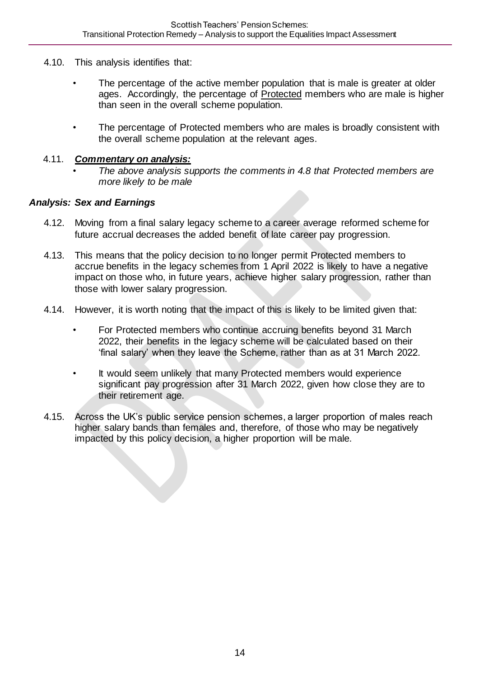- 4.10. This analysis identifies that:
	- The percentage of the active member population that is male is greater at older ages. Accordingly, the percentage of Protected members who are male is higher than seen in the overall scheme population.
	- The percentage of Protected members who are males is broadly consistent with the overall scheme population at the relevant ages.

#### 4.11. *Commentary on analysis:*

• *The above analysis supports the comments in 4.8 that Protected members are more likely to be male*

#### *Analysis: Sex and Earnings*

- 4.12. Moving from a final salary legacy scheme to a career average reformed scheme for future accrual decreases the added benefit of late career pay progression.
- 4.13. This means that the policy decision to no longer permit Protected members to accrue benefits in the legacy schemes from 1 April 2022 is likely to have a negative impact on those who, in future years, achieve higher salary progression, rather than those with lower salary progression.
- 4.14. However, it is worth noting that the impact of this is likely to be limited given that:
	- For Protected members who continue accruing benefits beyond 31 March 2022, their benefits in the legacy scheme will be calculated based on their 'final salary' when they leave the Scheme, rather than as at 31 March 2022.
	- It would seem unlikely that many Protected members would experience significant pay progression after 31 March 2022, given how close they are to their retirement age.
- 4.15. Across the UK's public service pension schemes, a larger proportion of males reach higher salary bands than females and, therefore, of those who may be negatively impacted by this policy decision, a higher proportion will be male.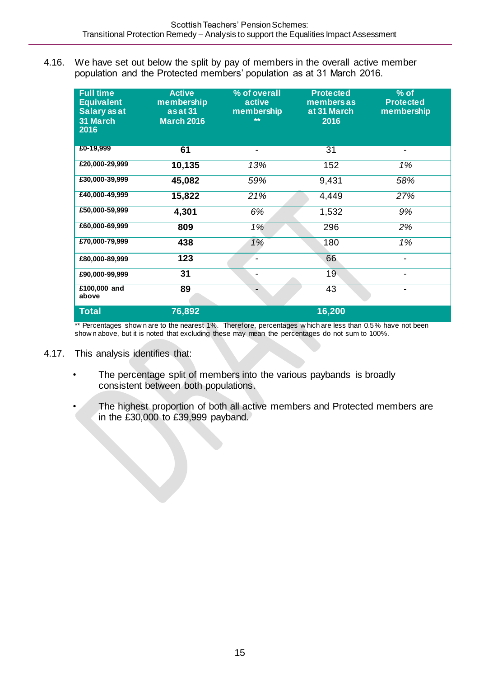4.16. We have set out below the split by pay of members in the overall active member population and the Protected members' population as at 31 March 2016.

| <b>Full time</b><br><b>Equivalent</b><br><b>Salary as at</b><br>31 March<br>2016 | <b>Active</b><br>membership<br>asat 31<br><b>March 2016</b> | % of overall<br>active<br>membership<br>** | <b>Protected</b><br><b>members as</b><br>at 31 March<br>2016 | $%$ of<br><b>Protected</b><br>membership |
|----------------------------------------------------------------------------------|-------------------------------------------------------------|--------------------------------------------|--------------------------------------------------------------|------------------------------------------|
| £0-19,999                                                                        | 61                                                          | -                                          | $\overline{31}$                                              |                                          |
| £20,000-29,999                                                                   | 10,135                                                      | 13%                                        | 152                                                          | 1%                                       |
| £30,000-39,999                                                                   | 45,082                                                      | 59%                                        | 9,431                                                        | 58%                                      |
| £40,000-49,999                                                                   | 15,822                                                      | 21%                                        | 4,449                                                        | 27%                                      |
| £50,000-59,999                                                                   | 4,301                                                       | 6%                                         | 1,532                                                        | 9%                                       |
| £60,000-69,999                                                                   | 809                                                         | 1%                                         | 296                                                          | 2%                                       |
| £70,000-79,999                                                                   | 438                                                         | 1%                                         | 180                                                          | $1\%$                                    |
| £80,000-89,999                                                                   | 123                                                         | $\overline{\phantom{a}}$                   | 66                                                           |                                          |
| £90,000-99,999                                                                   | 31                                                          | -                                          | 19                                                           |                                          |
| £100,000 and<br>above                                                            | 89                                                          | $\overline{\phantom{0}}$                   | 43                                                           |                                          |
| <b>Total</b>                                                                     | 76,892                                                      |                                            | 16,200                                                       |                                          |

\*\* Percentages show n are to the nearest 1%. Therefore, percentages w hich are less than 0.5% have not been show n above, but it is noted that excluding these may mean the percentages do not sum to 100%.

- 4.17. This analysis identifies that:
	- The percentage split of members into the various paybands is broadly consistent between both populations.
	- The highest proportion of both all active members and Protected members are in the £30,000 to £39,999 payband.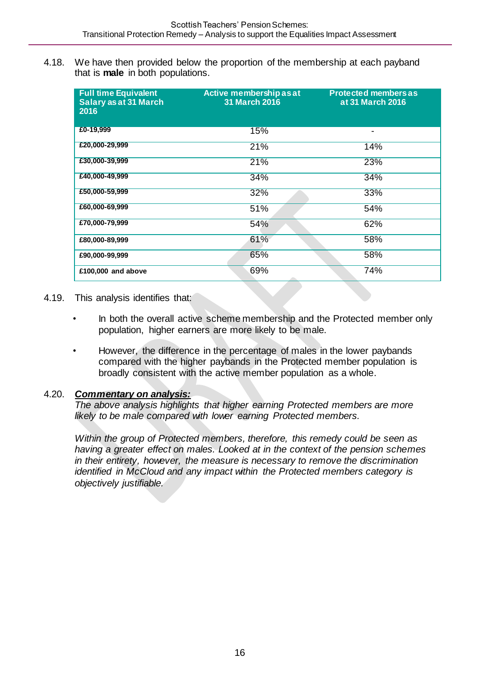4.18. We have then provided below the proportion of the membership at each payband that is **male** in both populations.

| <b>Full time Equivalent</b><br><b>Salary as at 31 March</b><br>2016 | Active membership as at<br><b>31 March 2016</b> | <b>Protected members as</b><br>at 31 March 2016 |
|---------------------------------------------------------------------|-------------------------------------------------|-------------------------------------------------|
| £0-19,999                                                           | 15%                                             | ۰                                               |
| £20,000-29,999                                                      | 21%                                             | 14%                                             |
| £30,000-39,999                                                      | 21%                                             | 23%                                             |
| £40,000-49,999                                                      | 34%                                             | 34%                                             |
| £50,000-59,999                                                      | 32%                                             | 33%                                             |
| £60,000-69,999                                                      | 51%                                             | 54%                                             |
| £70,000-79,999                                                      | 54%                                             | 62%                                             |
| £80,000-89,999                                                      | 61%                                             | 58%                                             |
| £90,000-99,999                                                      | 65%                                             | 58%                                             |
| £100,000 and above                                                  | 69%                                             | 74%                                             |

#### 4.19. This analysis identifies that:

- In both the overall active scheme membership and the Protected member only population, higher earners are more likely to be male.
- However, the difference in the percentage of males in the lower paybands compared with the higher paybands in the Protected member population is broadly consistent with the active member population as a whole.

#### 4.20. *Commentary on analysis:*

*The above analysis highlights that higher earning Protected members are more likely to be male compared with lower earning Protected members.* 

*Within the group of Protected members, therefore, this remedy could be seen as having a greater effect on males. Looked at in the context of the pension schemes in their entirety, however, the measure is necessary to remove the discrimination identified in McCloud and any impact within the Protected members category is objectively justifiable.*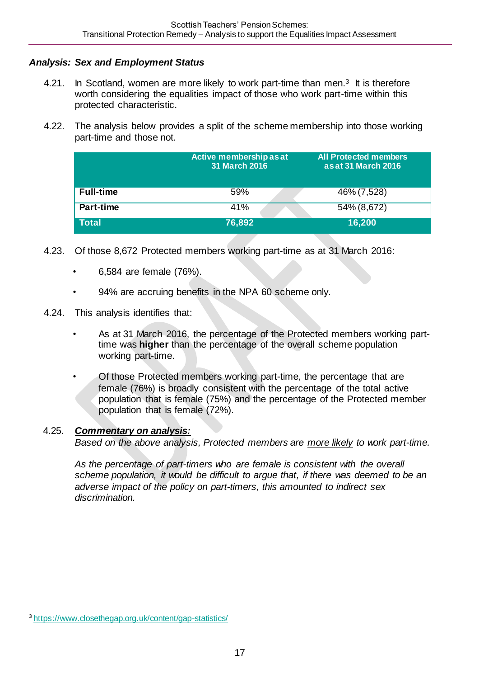#### *Analysis: Sex and Employment Status*

- 4.21. In Scotland, women are more likely to work part-time than men.<sup>3</sup> It is therefore worth considering the equalities impact of those who work part-time within this protected characteristic.
- 4.22. The analysis below provides a split of the scheme membership into those working part-time and those not.

|                  | Active membership as at<br>31 March 2016 | <b>All Protected members</b><br>as at 31 March 2016 |
|------------------|------------------------------------------|-----------------------------------------------------|
| <b>Full-time</b> | 59%                                      | $46\% (7,528)$                                      |
| <b>Part-time</b> | 41%                                      | 54% (8,672)                                         |
| Total            | 76,892                                   | 16,200                                              |

4.23. Of those 8,672 Protected members working part-time as at 31 March 2016:

- 6,584 are female (76%).
- 94% are accruing benefits in the NPA 60 scheme only.

#### 4.24. This analysis identifies that:

- As at 31 March 2016, the percentage of the Protected members working parttime was **higher** than the percentage of the overall scheme population working part-time.
- Of those Protected members working part-time, the percentage that are female (76%) is broadly consistent with the percentage of the total active population that is female (75%) and the percentage of the Protected member population that is female (72%).

#### 4.25. *Commentary on analysis:*

*Based on the above analysis, Protected members are more likely to work part-time.* 

As the percentage of part-timers who are female is consistent with the overall *scheme population, it would be difficult to argue that, if there was deemed to be an adverse impact of the policy on part-timers, this amounted to indirect sex discrimination.*

 $\overline{a}$ <sup>3</sup><https://www.closethegap.org.uk/content/gap-statistics/>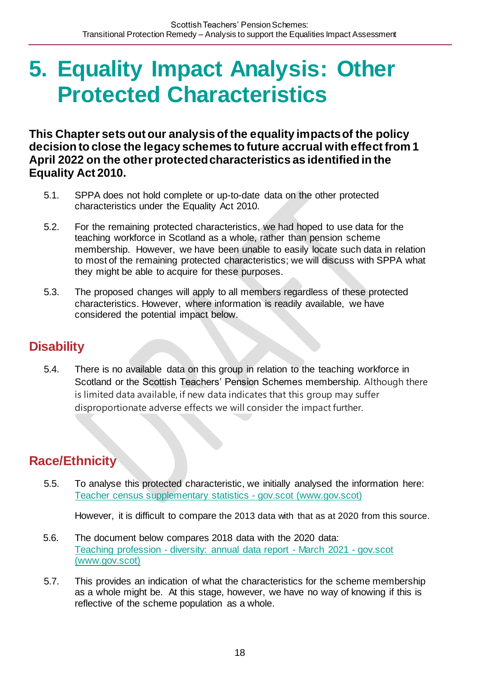## <span id="page-17-0"></span>**5. Equality Impact Analysis: Other Protected Characteristics**

**This Chapter sets out our analysis of the equality impacts of the policy decision to close the legacy schemes to future accrual with effect from 1 April 2022 on the other protected characteristics as identified in the Equality Act 2010.**

- 5.1. SPPA does not hold complete or up-to-date data on the other protected characteristics under the Equality Act 2010.
- 5.2. For the remaining protected characteristics, we had hoped to use data for the teaching workforce in Scotland as a whole, rather than pension scheme membership. However, we have been unable to easily locate such data in relation to most of the remaining protected characteristics; we will discuss with SPPA what they might be able to acquire for these purposes.
- 5.3. The proposed changes will apply to all members regardless of these protected characteristics. However, where information is readily available, we have considered the potential impact below.

## **Disability**

5.4. There is no available data on this group in relation to the teaching workforce in Scotland or the Scottish Teachers' Pension Schemes membership. Although there is limited data available, if new data indicates that this group may suffer disproportionate adverse effects we will consider the impact further.

## **Race/Ethnicity**

5.5. To analyse this protected characteristic, we initially analysed the information here: Teacher census supplementary statistics - gov.scot (www.gov.scot)

However, it is difficult to compare the 2013 data with that as at 2020 from this source.

- 5.6. The document below compares 2018 data with the 2020 data: Teaching profession - diversity: annual data report - March 2021 - gov.scot (www.gov.scot)
- 5.7. This provides an indication of what the characteristics for the scheme membership as a whole might be. At this stage, however, we have no way of knowing if this is reflective of the scheme population as a whole.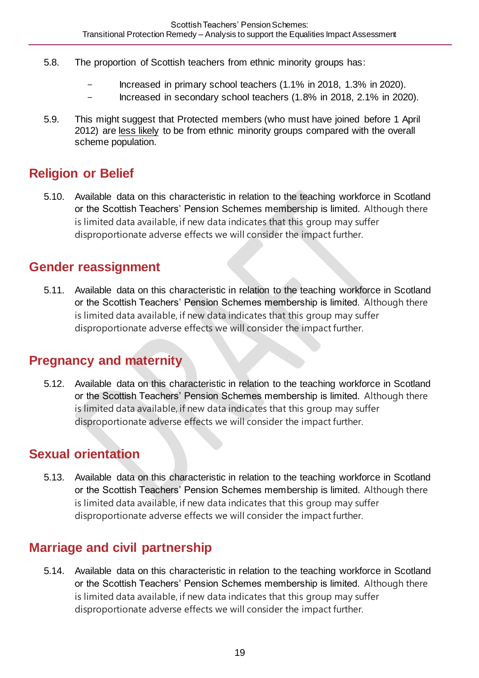- 5.8. The proportion of Scottish teachers from ethnic minority groups has:
	- Increased in primary school teachers (1.1% in 2018, 1.3% in 2020).
	- Increased in secondary school teachers (1.8% in 2018, 2.1% in 2020).
- 5.9. This might suggest that Protected members (who must have joined before 1 April 2012) are less likely to be from ethnic minority groups compared with the overall scheme population.

## **Religion or Belief**

5.10. Available data on this characteristic in relation to the teaching workforce in Scotland or the Scottish Teachers' Pension Schemes membership is limited. Although there is limited data available, if new data indicates that this group may suffer disproportionate adverse effects we will consider the impact further.

## **Gender reassignment**

5.11. Available data on this characteristic in relation to the teaching workforce in Scotland or the Scottish Teachers' Pension Schemes membership is limited. Although there is limited data available, if new data indicates that this group may suffer disproportionate adverse effects we will consider the impact further.

## **Pregnancy and maternity**

5.12. Available data on this characteristic in relation to the teaching workforce in Scotland or the Scottish Teachers' Pension Schemes membership is limited. Although there is limited data available, if new data indicates that this group may suffer disproportionate adverse effects we will consider the impact further.

## **Sexual orientation**

5.13. Available data on this characteristic in relation to the teaching workforce in Scotland or the Scottish Teachers' Pension Schemes membership is limited. Although there is limited data available, if new data indicates that this group may suffer disproportionate adverse effects we will consider the impact further.

## **Marriage and civil partnership**

5.14. Available data on this characteristic in relation to the teaching workforce in Scotland or the Scottish Teachers' Pension Schemes membership is limited. Although there is limited data available, if new data indicates that this group may suffer disproportionate adverse effects we will consider the impact further.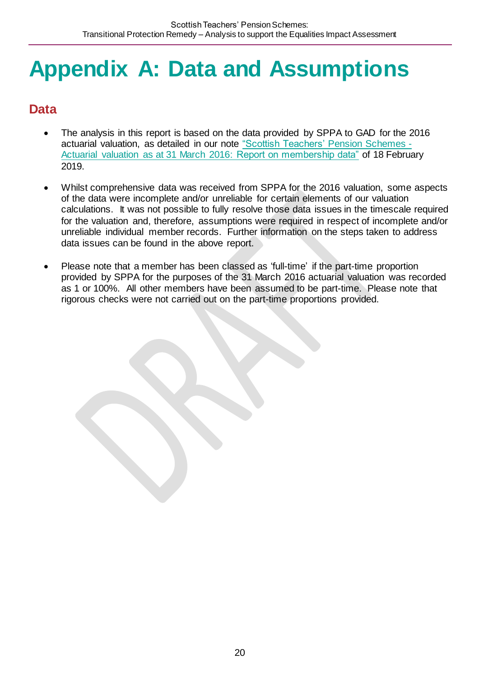# <span id="page-19-0"></span>**Appendix A: Data and Assumptions**

## **Data**

- The analysis in this report is based on the data provided by SPPA to GAD for the 2016 actuarial valuation, as detailed in our note ["Scottish Teachers' Pension Schemes -](https://pensions.gov.scot/sites/default/files/2019-07/2016%20Data%20report%20-%20TPS_S%20-%20final.pdf) [Actuarial valuation as at 31 March 2016: Report on membership data"](https://pensions.gov.scot/sites/default/files/2019-07/2016%20Data%20report%20-%20TPS_S%20-%20final.pdf) of 18 February 2019.
- Whilst comprehensive data was received from SPPA for the 2016 valuation, some aspects of the data were incomplete and/or unreliable for certain elements of our valuation calculations. It was not possible to fully resolve those data issues in the timescale required for the valuation and, therefore, assumptions were required in respect of incomplete and/or unreliable individual member records. Further information on the steps taken to address data issues can be found in the above report.
- Please note that a member has been classed as 'full-time' if the part-time proportion provided by SPPA for the purposes of the 31 March 2016 actuarial valuation was recorded as 1 or 100%. All other members have been assumed to be part-time. Please note that rigorous checks were not carried out on the part-time proportions provided.